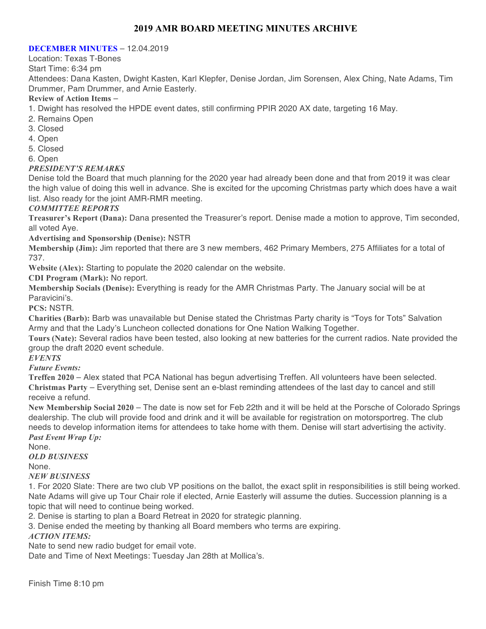## **2019 AMR BOARD MEETING MINUTES ARCHIVE**

#### **DECEMBER MINUTES** – 12.04.2019

Location: Texas T-Bones

Start Time: 6:34 pm

Attendees: Dana Kasten, Dwight Kasten, Karl Klepfer, Denise Jordan, Jim Sorensen, Alex Ching, Nate Adams, Tim Drummer, Pam Drummer, and Arnie Easterly.

#### **Review of Action Items** –

1. Dwight has resolved the HPDE event dates, still confirming PPIR 2020 AX date, targeting 16 May.

- 2. Remains Open
- 3. Closed
- 4. Open
- 5. Closed
- 6. Open

#### *PRESIDENT'S REMARKS*

Denise told the Board that much planning for the 2020 year had already been done and that from 2019 it was clear the high value of doing this well in advance. She is excited for the upcoming Christmas party which does have a wait list. Also ready for the joint AMR-RMR meeting.

#### *COMMITTEE REPORTS*

**Treasurer's Report (Dana):** Dana presented the Treasurer's report. Denise made a motion to approve, Tim seconded, all voted Aye.

**Advertising and Sponsorship (Denise):** NSTR

**Membership (Jim):** Jim reported that there are 3 new members, 462 Primary Members, 275 Affiliates for a total of 737.

**Website (Alex):** Starting to populate the 2020 calendar on the website.

**CDI Program (Mark):** No report.

**Membership Socials (Denise):** Everything is ready for the AMR Christmas Party. The January social will be at Paravicini's.

**PCS:** NSTR.

**Charities (Barb):** Barb was unavailable but Denise stated the Christmas Party charity is "Toys for Tots" Salvation Army and that the Lady's Luncheon collected donations for One Nation Walking Together.

**Tours (Nate):** Several radios have been tested, also looking at new batteries for the current radios. Nate provided the group the draft 2020 event schedule.

*EVENTS*

*Future Events:*

**Treffen 2020** – Alex stated that PCA National has begun advertising Treffen. All volunteers have been selected. **Christmas Party** – Everything set, Denise sent an e-blast reminding attendees of the last day to cancel and still receive a refund.

**New Membership Social 2020** – The date is now set for Feb 22th and it will be held at the Porsche of Colorado Springs dealership. The club will provide food and drink and it will be available for registration on motorsportreg. The club needs to develop information items for attendees to take home with them. Denise will start advertising the activity.

*Past Event Wrap Up:*

None. *OLD BUSINESS*

None.

*NEW BUSINESS*

1. For 2020 Slate: There are two club VP positions on the ballot, the exact split in responsibilities is still being worked. Nate Adams will give up Tour Chair role if elected, Arnie Easterly will assume the duties. Succession planning is a topic that will need to continue being worked.

2. Denise is starting to plan a Board Retreat in 2020 for strategic planning.

3. Denise ended the meeting by thanking all Board members who terms are expiring.

#### *ACTION ITEMS:*

Nate to send new radio budget for email vote.

Date and Time of Next Meetings: Tuesday Jan 28th at Mollica's.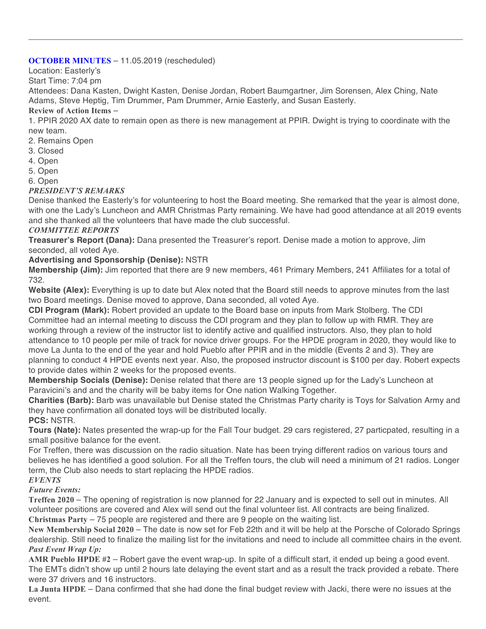## **OCTOBER MINUTES** – 11.05.2019 (rescheduled)

Location: Easterly's

Start Time: 7:04 pm

Attendees: Dana Kasten, Dwight Kasten, Denise Jordan, Robert Baumgartner, Jim Sorensen, Alex Ching, Nate Adams, Steve Heptig, Tim Drummer, Pam Drummer, Arnie Easterly, and Susan Easterly.

## **Review of Action Items** –

1. PPIR 2020 AX date to remain open as there is new management at PPIR. Dwight is trying to coordinate with the new team.

- 2. Remains Open
- 3. Closed
- 4. Open
- 5. Open
- 6. Open

## *PRESIDENT'S REMARKS*

Denise thanked the Easterly's for volunteering to host the Board meeting. She remarked that the year is almost done, with one the Lady's Luncheon and AMR Christmas Party remaining. We have had good attendance at all 2019 events and she thanked all the volunteers that have made the club successful.

## *COMMITTEE REPORTS*

**Treasurer's Report (Dana):** Dana presented the Treasurer's report. Denise made a motion to approve, Jim seconded, all voted Aye.

## **Advertising and Sponsorship (Denise):** NSTR

**Membership (Jim):** Jim reported that there are 9 new members, 461 Primary Members, 241 Affiliates for a total of 732.

**Website (Alex):** Everything is up to date but Alex noted that the Board still needs to approve minutes from the last two Board meetings. Denise moved to approve, Dana seconded, all voted Aye.

**CDI Program (Mark):** Robert provided an update to the Board base on inputs from Mark Stolberg. The CDI Committee had an internal meeting to discuss the CDI program and they plan to follow up with RMR. They are working through a review of the instructor list to identify active and qualified instructors. Also, they plan to hold attendance to 10 people per mile of track for novice driver groups. For the HPDE program in 2020, they would like to move La Junta to the end of the year and hold Pueblo after PPIR and in the middle (Events 2 and 3). They are planning to conduct 4 HPDE events next year. Also, the proposed instructor discount is \$100 per day. Robert expects to provide dates within 2 weeks for the proposed events.

**Membership Socials (Denise):** Denise related that there are 13 people signed up for the Lady's Luncheon at Paravicini's and and the charity will be baby items for One nation Walking Together.

**Charities (Barb):** Barb was unavailable but Denise stated the Christmas Party charity is Toys for Salvation Army and they have confirmation all donated toys will be distributed locally.

**PCS:** NSTR.

**Tours (Nate):** Nates presented the wrap-up for the Fall Tour budget. 29 cars registered, 27 particpated, resulting in a small positive balance for the event.

For Treffen, there was discussion on the radio situation. Nate has been trying different radios on various tours and believes he has identified a good solution. For all the Treffen tours, the club will need a minimum of 21 radios. Longer term, the Club also needs to start replacing the HPDE radios.

## *EVENTS*

*Future Events:*

**Treffen 2020** – The opening of registration is now planned for 22 January and is expected to sell out in minutes. All volunteer positions are covered and Alex will send out the final volunteer list. All contracts are being finalized. **Christmas Party** – 75 people are registered and there are 9 people on the waiting list.

**New Membership Social 2020** – The date is now set for Feb 22th and it will be help at the Porsche of Colorado Springs dealership. Still need to finalize the mailing list for the invitations and need to include all committee chairs in the event. *Past Event Wrap Up:*

**AMR Pueblo HPDE #2** – Robert gave the event wrap-up. In spite of a difficult start, it ended up being a good event. The EMTs didn't show up until 2 hours late delaying the event start and as a result the track provided a rebate. There were 37 drivers and 16 instructors.

**La Junta HPDE** – Dana confirmed that she had done the final budget review with Jacki, there were no issues at the event.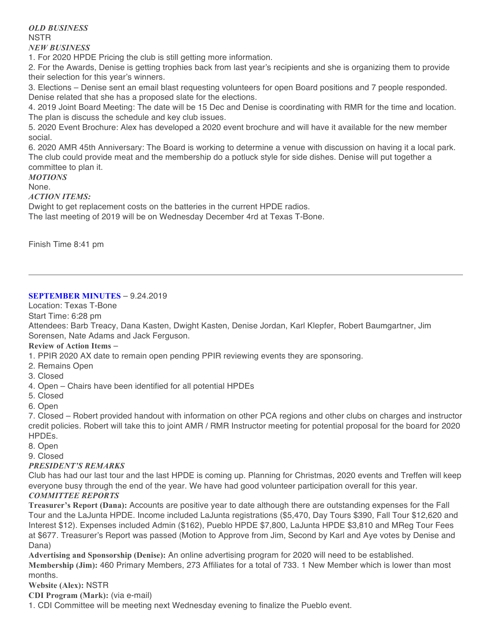*OLD BUSINESS* NSTR *NEW BUSINESS*

1. For 2020 HPDE Pricing the club is still getting more information.

2. For the Awards, Denise is getting trophies back from last year's recipients and she is organizing them to provide their selection for this year's winners.

3. Elections – Denise sent an email blast requesting volunteers for open Board positions and 7 people responded. Denise related that she has a proposed slate for the elections.

4. 2019 Joint Board Meeting: The date will be 15 Dec and Denise is coordinating with RMR for the time and location. The plan is discuss the schedule and key club issues.

5. 2020 Event Brochure: Alex has developed a 2020 event brochure and will have it available for the new member social.

6. 2020 AMR 45th Anniversary: The Board is working to determine a venue with discussion on having it a local park. The club could provide meat and the membership do a potluck style for side dishes. Denise will put together a committee to plan it.

*MOTIONS* None.

*ACTION ITEMS:*

Dwight to get replacement costs on the batteries in the current HPDE radios.

The last meeting of 2019 will be on Wednesday December 4rd at Texas T-Bone.

Finish Time 8:41 pm

## **SEPTEMBER MINUTES** – 9.24.2019

Location: Texas T-Bone

Start Time: 6:28 pm

Attendees: Barb Treacy, Dana Kasten, Dwight Kasten, Denise Jordan, Karl Klepfer, Robert Baumgartner, Jim Sorensen, Nate Adams and Jack Ferguson.

#### **Review of Action Items** –

1. PPIR 2020 AX date to remain open pending PPIR reviewing events they are sponsoring.

- 2. Remains Open
- 3. Closed

4. Open – Chairs have been identified for all potential HPDEs

- 5. Closed
- 6. Open

7. Closed – Robert provided handout with information on other PCA regions and other clubs on charges and instructor credit policies. Robert will take this to joint AMR / RMR Instructor meeting for potential proposal for the board for 2020 HPDEs.

8. Open

9. Closed

#### *PRESIDENT'S REMARKS*

Club has had our last tour and the last HPDE is coming up. Planning for Christmas, 2020 events and Treffen will keep everyone busy through the end of the year. We have had good volunteer participation overall for this year. *COMMITTEE REPORTS*

**Treasurer's Report (Dana):** Accounts are positive year to date although there are outstanding expenses for the Fall Tour and the LaJunta HPDE. Income included LaJunta registrations (\$5,470, Day Tours \$390, Fall Tour \$12,620 and Interest \$12). Expenses included Admin (\$162), Pueblo HPDE \$7,800, LaJunta HPDE \$3,810 and MReg Tour Fees at \$677. Treasurer's Report was passed (Motion to Approve from Jim, Second by Karl and Aye votes by Denise and Dana)

**Advertising and Sponsorship (Denise):** An online advertising program for 2020 will need to be established. **Membership (Jim):** 460 Primary Members, 273 Affiliates for a total of 733. 1 New Member which is lower than most months.

**Website (Alex):** NSTR

**CDI Program (Mark):** (via e-mail)

1. CDI Committee will be meeting next Wednesday evening to finalize the Pueblo event.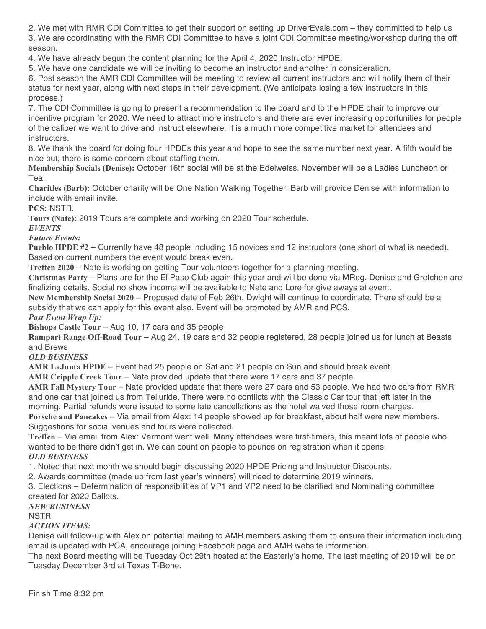2. We met with RMR CDI Committee to get their support on setting up DriverEvals.com – they committed to help us 3. We are coordinating with the RMR CDI Committee to have a joint CDI Committee meeting/workshop during the off season.

4. We have already begun the content planning for the April 4, 2020 Instructor HPDE.

5. We have one candidate we will be inviting to become an instructor and another in consideration.

6. Post season the AMR CDI Committee will be meeting to review all current instructors and will notify them of their status for next year, along with next steps in their development. (We anticipate losing a few instructors in this process.)

7. The CDI Committee is going to present a recommendation to the board and to the HPDE chair to improve our incentive program for 2020. We need to attract more instructors and there are ever increasing opportunities for people of the caliber we want to drive and instruct elsewhere. It is a much more competitive market for attendees and instructors.

8. We thank the board for doing four HPDEs this year and hope to see the same number next year. A fifth would be nice but, there is some concern about staffing them.

**Membership Socials (Denise):** October 16th social will be at the Edelweiss. November will be a Ladies Luncheon or Tea.

**Charities (Barb):** October charity will be One Nation Walking Together. Barb will provide Denise with information to include with email invite.

**PCS:** NSTR.

**Tours (Nate):** 2019 Tours are complete and working on 2020 Tour schedule.

*EVENTS*

*Future Events:*

**Pueblo HPDE #2** – Currently have 48 people including 15 novices and 12 instructors (one short of what is needed). Based on current numbers the event would break even.

**Treffen 2020** – Nate is working on getting Tour volunteers together for a planning meeting.

**Christmas Party** – Plans are for the El Paso Club again this year and will be done via MReg. Denise and Gretchen are finalizing details. Social no show income will be available to Nate and Lore for give aways at event.

**New Membership Social 2020** – Proposed date of Feb 26th. Dwight will continue to coordinate. There should be a subsidy that we can apply for this event also. Event will be promoted by AMR and PCS.

*Past Event Wrap Up:*

**Bishops Castle Tour** – Aug 10, 17 cars and 35 people

**Rampart Range Off-Road Tour** – Aug 24, 19 cars and 32 people registered, 28 people joined us for lunch at Beasts and Brews

*OLD BUSINESS*

**AMR LaJunta HPDE** – Event had 25 people on Sat and 21 people on Sun and should break event.

**AMR Cripple Creek Tour** – Nate provided update that there were 17 cars and 37 people.

**AMR Fall Mystery Tour** – Nate provided update that there were 27 cars and 53 people. We had two cars from RMR and one car that joined us from Telluride. There were no conflicts with the Classic Car tour that left later in the morning. Partial refunds were issued to some late cancellations as the hotel waived those room charges.

**Porsche and Pancakes** – Via email from Alex: 14 people showed up for breakfast, about half were new members. Suggestions for social venues and tours were collected.

**Treffen** – Via email from Alex: Vermont went well. Many attendees were first-timers, this meant lots of people who wanted to be there didn't get in. We can count on people to pounce on registration when it opens. *OLD BUSINESS*

1. Noted that next month we should begin discussing 2020 HPDE Pricing and Instructor Discounts.

2. Awards committee (made up from last year's winners) will need to determine 2019 winners.

3. Elections – Determination of responsibilities of VP1 and VP2 need to be clarified and Nominating committee created for 2020 Ballots.

*NEW BUSINESS*

**NSTR** 

## *ACTION ITEMS:*

Denise will follow-up with Alex on potential mailing to AMR members asking them to ensure their information including email is updated with PCA, encourage joining Facebook page and AMR website information.

The next Board meeting will be Tuesday Oct 29th hosted at the Easterly's home. The last meeting of 2019 will be on Tuesday December 3rd at Texas T-Bone.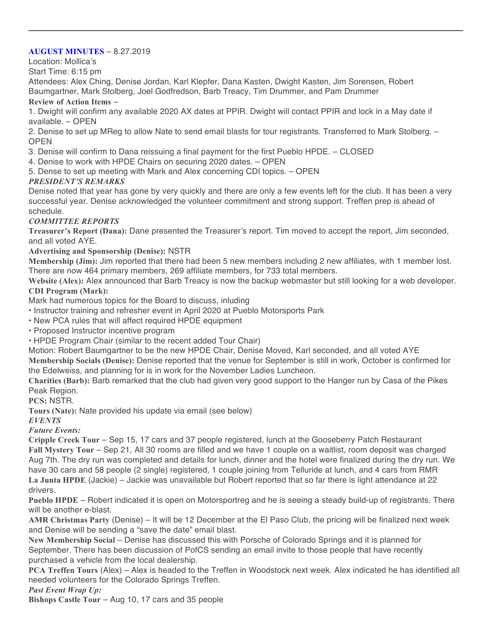#### **AUGUST MINUTES** – 8.27.2019

Location: Mollica's

Start Time: 6:15 pm

Attendees: Alex Ching, Denise Jordan, Karl Klepfer, Dana Kasten, Dwight Kasten, Jim Sorensen, Robert Baumgartner, Mark Stolberg, Joel Godfredson, Barb Treacy, Tim Drummer, and Pam Drummer

#### **Review of Action Items** –

1. Dwight will confirm any available 2020 AX dates at PPIR. Dwight will contact PPIR and lock in a May date if available. – OPEN

2. Denise to set up MReg to allow Nate to send email blasts for tour registrants. Transferred to Mark Stolberg. – OPEN

3. Denise will confirm to Dana reissuing a final payment for the first Pueblo HPDE. – CLOSED

- 4. Denise to work with HPDE Chairs on securing 2020 dates. OPEN
- 5. Dense to set up meeting with Mark and Alex concerning CDI topics. OPEN

## *PRESIDENT'S REMARKS*

Denise noted that year has gone by very quickly and there are only a few events left for the club. It has been a very successful year. Denise acknowledged the volunteer commitment and strong support. Treffen prep is ahead of schedule.

### *COMMITTEE REPORTS*

**Treasurer's Report (Dana):** Dane presented the Treasurer's report. Tim moved to accept the report, Jim seconded, and all voted AYE.

### **Advertising and Sponsorship (Denise):** NSTR

**Membership (Jim):** Jim reported that there had been 5 new members including 2 new affiliates, with 1 member lost. There are now 464 primary members, 269 affiliate members, for 733 total members.

**Website (Alex):** Alex announced that Barb Treacy is now the backup webmaster but still looking for a web developer. **CDI Program (Mark):**

Mark had numerous topics for the Board to discuss, inluding

• Instructor training and refresher event in April 2020 at Pueblo Motorsports Park

• New PCA rules that will affect required HPDE equipment

• Proposed Instructor incentive program

• HPDE Program Chair (similar to the recent added Tour Chair)

Motion: Robert Baumgartner to be the new HPDE Chair, Denise Moved, Karl seconded, and all voted AYE **Membership Socials (Denise):** Denise reported that the venue for September is still in work, October is confirmed for

the Edelweiss, and planning for is in work for the November Ladies Luncheon.

**Charities (Barb):** Barb remarked that the club had given very good support to the Hanger run by Casa of the Pikes Peak Region.

**PCS:** NSTR.

**Tours (Nate):** Nate provided his update via email (see below)

## *EVENTS*

*Future Events:*

**Cripple Creek Tour** – Sep 15, 17 cars and 37 people registered, lunch at the Gooseberry Patch Restaurant **Fall Mystery Tour** – Sep 21, All 30 rooms are filled and we have 1 couple on a waitlist, room deposit was charged Aug 7th. The dry run was completed and details for lunch, dinner and the hotel were finalized during the dry run. We have 30 cars and 58 people (2 single) registered, 1 couple joining from Telluride at lunch, and 4 cars from RMR **La Junta HPDE** (Jackie) – Jackie was unavailable but Robert reported that so far there is light attendance at 22 drivers.

**Pueblo HPDE** – Robert indicated it is open on Motorsportreg and he is seeing a steady build-up of registrants. There will be another e-blast.

**AMR Christmas Party** (Denise) – It will be 12 December at the El Paso Club, the pricing will be finalized next week and Denise will be sending a "save the date" email blast.

**New Membership Social** – Denise has discussed this with Porsche of Colorado Springs and it is planned for September. There has been discussion of PofCS sending an email invite to those people that have recently purchased a vehicle from the local dealership.

**PCA Treffen Tours** (Alex) – Alex is headed to the Treffen in Woodstock next week. Alex indicated he has identified all needed volunteers for the Colorado Springs Treffen.

*Past Event Wrap Up:*

**Bishops Castle Tour** – Aug 10, 17 cars and 35 people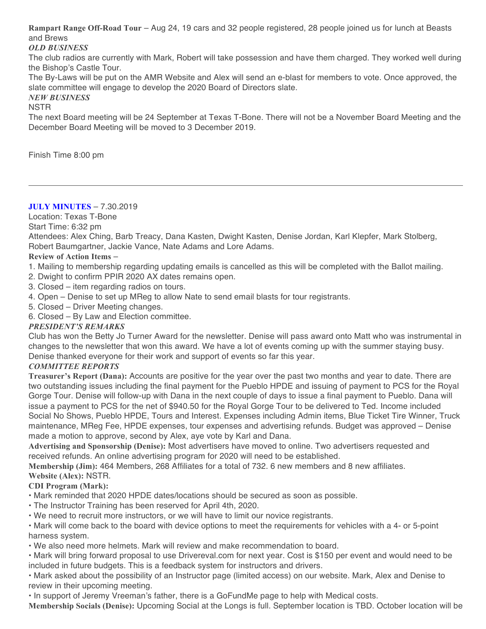**Rampart Range Off-Road Tour** – Aug 24, 19 cars and 32 people registered, 28 people joined us for lunch at Beasts and Brews

### *OLD BUSINESS*

The club radios are currently with Mark, Robert will take possession and have them charged. They worked well during the Bishop's Castle Tour.

The By-Laws will be put on the AMR Website and Alex will send an e-blast for members to vote. Once approved, the slate committee will engage to develop the 2020 Board of Directors slate.

#### *NEW BUSINESS*

**NSTR** 

The next Board meeting will be 24 September at Texas T-Bone. There will not be a November Board Meeting and the December Board Meeting will be moved to 3 December 2019.

Finish Time 8:00 pm

## **JULY MINUTES** – 7.30.2019

Location: Texas T-Bone

Start Time: 6:32 pm

Attendees: Alex Ching, Barb Treacy, Dana Kasten, Dwight Kasten, Denise Jordan, Karl Klepfer, Mark Stolberg, Robert Baumgartner, Jackie Vance, Nate Adams and Lore Adams.

## **Review of Action Items** –

- 1. Mailing to membership regarding updating emails is cancelled as this will be completed with the Ballot mailing.
- 2. Dwight to confirm PPIR 2020 AX dates remains open.
- 3. Closed item regarding radios on tours.
- 4. Open Denise to set up MReg to allow Nate to send email blasts for tour registrants.
- 5. Closed Driver Meeting changes.
- 6. Closed By Law and Election committee.

## *PRESIDENT'S REMARKS*

Club has won the Betty Jo Turner Award for the newsletter. Denise will pass award onto Matt who was instrumental in changes to the newsletter that won this award. We have a lot of events coming up with the summer staying busy. Denise thanked everyone for their work and support of events so far this year.

## *COMMITTEE REPORTS*

**Treasurer's Report (Dana):** Accounts are positive for the year over the past two months and year to date. There are two outstanding issues including the final payment for the Pueblo HPDE and issuing of payment to PCS for the Royal Gorge Tour. Denise will follow-up with Dana in the next couple of days to issue a final payment to Pueblo. Dana will issue a payment to PCS for the net of \$940.50 for the Royal Gorge Tour to be delivered to Ted. Income included Social No Shows, Pueblo HPDE, Tours and Interest. Expenses including Admin items, Blue Ticket Tire Winner, Truck maintenance, MReg Fee, HPDE expenses, tour expenses and advertising refunds. Budget was approved – Denise made a motion to approve, second by Alex, aye vote by Karl and Dana.

**Advertising and Sponsorship (Denise):** Most advertisers have moved to online. Two advertisers requested and received refunds. An online advertising program for 2020 will need to be established.

**Membership (Jim):** 464 Members, 268 Affiliates for a total of 732. 6 new members and 8 new affiliates.

#### **Website (Alex):** NSTR. **CDI Program (Mark):**

• Mark reminded that 2020 HPDE dates/locations should be secured as soon as possible.

- The Instructor Training has been reserved for April 4th, 2020.
- We need to recruit more instructors, or we will have to limit our novice registrants.

• Mark will come back to the board with device options to meet the requirements for vehicles with a 4- or 5-point harness system.

• We also need more helmets. Mark will review and make recommendation to board.

• Mark will bring forward proposal to use Drivereval.com for next year. Cost is \$150 per event and would need to be included in future budgets. This is a feedback system for instructors and drivers.

• Mark asked about the possibility of an Instructor page (limited access) on our website. Mark, Alex and Denise to review in their upcoming meeting.

• In support of Jeremy Vreeman's father, there is a GoFundMe page to help with Medical costs.

**Membership Socials (Denise):** Upcoming Social at the Longs is full. September location is TBD. October location will be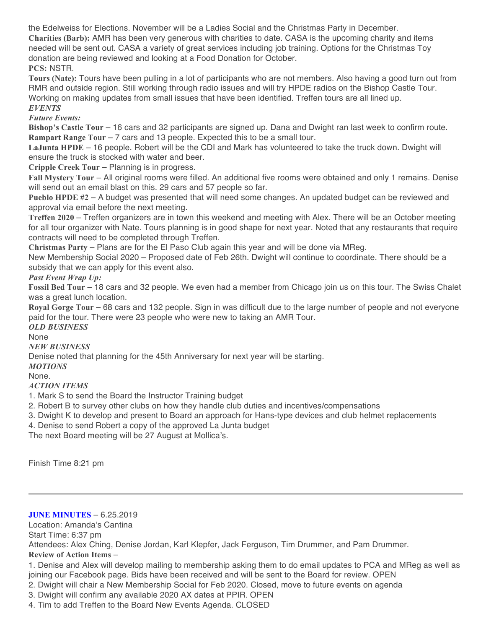the Edelweiss for Elections. November will be a Ladies Social and the Christmas Party in December. **Charities (Barb):** AMR has been very generous with charities to date. CASA is the upcoming charity and items needed will be sent out. CASA a variety of great services including job training. Options for the Christmas Toy donation are being reviewed and looking at a Food Donation for October. **PCS:** NSTR.

**Tours (Nate):** Tours have been pulling in a lot of participants who are not members. Also having a good turn out from RMR and outside region. Still working through radio issues and will try HPDE radios on the Bishop Castle Tour. Working on making updates from small issues that have been identified. Treffen tours are all lined up. *EVENTS*

## *Future Events:*

**Bishop's Castle Tour** – 16 cars and 32 participants are signed up. Dana and Dwight ran last week to confirm route. **Rampart Range Tour** – 7 cars and 13 people. Expected this to be a small tour.

**LaJunta HPDE** – 16 people. Robert will be the CDI and Mark has volunteered to take the truck down. Dwight will ensure the truck is stocked with water and beer.

**Cripple Creek Tour** – Planning is in progress.

**Fall Mystery Tour** – All original rooms were filled. An additional five rooms were obtained and only 1 remains. Denise will send out an email blast on this. 29 cars and 57 people so far.

**Pueblo HPDE #2** – A budget was presented that will need some changes. An updated budget can be reviewed and approval via email before the next meeting.

**Treffen 2020** – Treffen organizers are in town this weekend and meeting with Alex. There will be an October meeting for all tour organizer with Nate. Tours planning is in good shape for next year. Noted that any restaurants that require contracts will need to be completed through Treffen.

**Christmas Party** – Plans are for the El Paso Club again this year and will be done via MReg.

New Membership Social 2020 – Proposed date of Feb 26th. Dwight will continue to coordinate. There should be a subsidy that we can apply for this event also.

### *Past Event Wrap Up:*

**Fossil Bed Tour** – 18 cars and 32 people. We even had a member from Chicago join us on this tour. The Swiss Chalet was a great lunch location.

**Royal Gorge Tour** – 68 cars and 132 people. Sign in was difficult due to the large number of people and not everyone paid for the tour. There were 23 people who were new to taking an AMR Tour.

## *OLD BUSINESS*

None

#### *NEW BUSINESS*

Denise noted that planning for the 45th Anniversary for next year will be starting.

*MOTIONS*

#### None.

## *ACTION ITEMS*

1. Mark S to send the Board the Instructor Training budget

2. Robert B to survey other clubs on how they handle club duties and incentives/compensations

3. Dwight K to develop and present to Board an approach for Hans-type devices and club helmet replacements

4. Denise to send Robert a copy of the approved La Junta budget

The next Board meeting will be 27 August at Mollica's.

Finish Time 8:21 pm

#### **JUNE MINUTES** – 6.25.2019

Location: Amanda's Cantina

Start Time: 6:37 pm

Attendees: Alex Ching, Denise Jordan, Karl Klepfer, Jack Ferguson, Tim Drummer, and Pam Drummer.

**Review of Action Items** –

1. Denise and Alex will develop mailing to membership asking them to do email updates to PCA and MReg as well as joining our Facebook page. Bids have been received and will be sent to the Board for review. OPEN

2. Dwight will chair a New Membership Social for Feb 2020. Closed, move to future events on agenda

3. Dwight will confirm any available 2020 AX dates at PPIR. OPEN

4. Tim to add Treffen to the Board New Events Agenda. CLOSED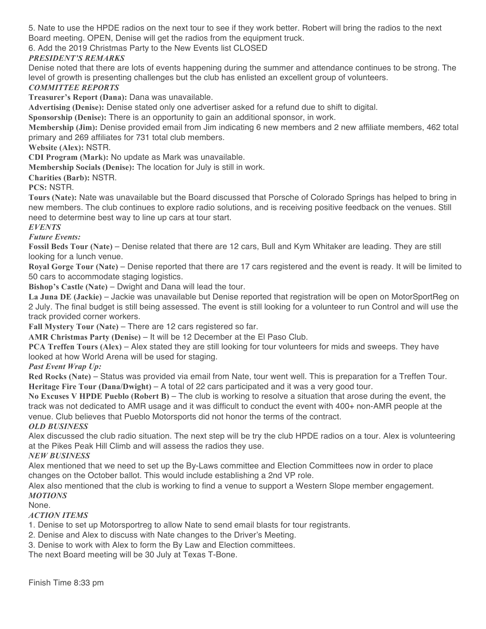5. Nate to use the HPDE radios on the next tour to see if they work better. Robert will bring the radios to the next Board meeting. OPEN, Denise will get the radios from the equipment truck.

6. Add the 2019 Christmas Party to the New Events list CLOSED

## *PRESIDENT'S REMARKS*

Denise noted that there are lots of events happening during the summer and attendance continues to be strong. The level of growth is presenting challenges but the club has enlisted an excellent group of volunteers.

## *COMMITTEE REPORTS*

**Treasurer's Report (Dana):** Dana was unavailable.

**Advertising (Denise):** Denise stated only one advertiser asked for a refund due to shift to digital.

**Sponsorship (Denise):** There is an opportunity to gain an additional sponsor, in work.

**Membership (Jim):** Denise provided email from Jim indicating 6 new members and 2 new affiliate members, 462 total primary and 269 affiliates for 731 total club members.

**Website (Alex):** NSTR.

**CDI Program (Mark):** No update as Mark was unavailable.

**Membership Socials (Denise):** The location for July is still in work.

**Charities (Barb):** NSTR.

**PCS:** NSTR.

**Tours (Nate):** Nate was unavailable but the Board discussed that Porsche of Colorado Springs has helped to bring in new members. The club continues to explore radio solutions, and is receiving positive feedback on the venues. Still need to determine best way to line up cars at tour start.

### *EVENTS*

*Future Events:*

**Fossil Beds Tour (Nate)** – Denise related that there are 12 cars, Bull and Kym Whitaker are leading. They are still looking for a lunch venue.

**Royal Gorge Tour (Nate)** – Denise reported that there are 17 cars registered and the event is ready. It will be limited to 50 cars to accommodate staging logistics.

**Bishop's Castle (Nate)** – Dwight and Dana will lead the tour.

**La Juna DE (Jackie)** – Jackie was unavailable but Denise reported that registration will be open on MotorSportReg on 2 July. The final budget is still being assessed. The event is still looking for a volunteer to run Control and will use the track provided corner workers.

**Fall Mystery Tour (Nate)** – There are 12 cars registered so far.

**AMR Christmas Party (Denise)** – It will be 12 December at the El Paso Club.

**PCA Treffen Tours (Alex)** – Alex stated they are still looking for tour volunteers for mids and sweeps. They have looked at how World Arena will be used for staging.

*Past Event Wrap Up:*

**Red Rocks (Nate)** – Status was provided via email from Nate, tour went well. This is preparation for a Treffen Tour. **Heritage Fire Tour (Dana/Dwight)** – A total of 22 cars participated and it was a very good tour.

**No Excuses V HPDE Pueblo (Robert B)** – The club is working to resolve a situation that arose during the event, the track was not dedicated to AMR usage and it was difficult to conduct the event with 400+ non-AMR people at the venue. Club believes that Pueblo Motorsports did not honor the terms of the contract.

*OLD BUSINESS*

Alex discussed the club radio situation. The next step will be try the club HPDE radios on a tour. Alex is volunteering at the Pikes Peak Hill Climb and will assess the radios they use.

*NEW BUSINESS*

Alex mentioned that we need to set up the By-Laws committee and Election Committees now in order to place changes on the October ballot. This would include establishing a 2nd VP role.

Alex also mentioned that the club is working to find a venue to support a Western Slope member engagement. *MOTIONS*

None.

## *ACTION ITEMS*

1. Denise to set up Motorsportreg to allow Nate to send email blasts for tour registrants.

2. Denise and Alex to discuss with Nate changes to the Driver's Meeting.

3. Denise to work with Alex to form the By Law and Election committees.

The next Board meeting will be 30 July at Texas T-Bone.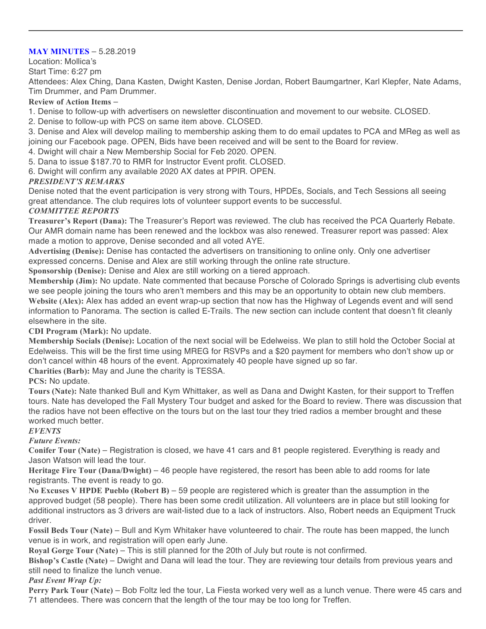#### **MAY MINUTES** – 5.28.2019

#### Location: Mollica's

Start Time: 6:27 pm

Attendees: Alex Ching, Dana Kasten, Dwight Kasten, Denise Jordan, Robert Baumgartner, Karl Klepfer, Nate Adams, Tim Drummer, and Pam Drummer.

#### **Review of Action Items** –

1. Denise to follow-up with advertisers on newsletter discontinuation and movement to our website. CLOSED.

2. Denise to follow-up with PCS on same item above. CLOSED.

3. Denise and Alex will develop mailing to membership asking them to do email updates to PCA and MReg as well as joining our Facebook page. OPEN, Bids have been received and will be sent to the Board for review.

- 4. Dwight will chair a New Membership Social for Feb 2020. OPEN.
- 5. Dana to issue \$187.70 to RMR for Instructor Event profit. CLOSED.

6. Dwight will confirm any available 2020 AX dates at PPIR. OPEN.

### *PRESIDENT'S REMARKS*

Denise noted that the event participation is very strong with Tours, HPDEs, Socials, and Tech Sessions all seeing great attendance. The club requires lots of volunteer support events to be successful.

### *COMMITTEE REPORTS*

**Treasurer's Report (Dana):** The Treasurer's Report was reviewed. The club has received the PCA Quarterly Rebate. Our AMR domain name has been renewed and the lockbox was also renewed. Treasurer report was passed: Alex made a motion to approve, Denise seconded and all voted AYE.

**Advertising (Denise):** Denise has contacted the advertisers on transitioning to online only. Only one advertiser expressed concerns. Denise and Alex are still working through the online rate structure.

**Sponsorship (Denise):** Denise and Alex are still working on a tiered approach.

**Membership (Jim):** No update. Nate commented that because Porsche of Colorado Springs is advertising club events we see people joining the tours who aren't members and this may be an opportunity to obtain new club members. **Website (Alex):** Alex has added an event wrap-up section that now has the Highway of Legends event and will send information to Panorama. The section is called E-Trails. The new section can include content that doesn't fit cleanly elsewhere in the site.

#### **CDI Program (Mark):** No update.

**Membership Socials (Denise):** Location of the next social will be Edelweiss. We plan to still hold the October Social at Edelweiss. This will be the first time using MREG for RSVPs and a \$20 payment for members who don't show up or don't cancel within 48 hours of the event. Approximately 40 people have signed up so far.

**Charities (Barb):** May and June the charity is TESSA.

**PCS:** No update.

**Tours (Nate):** Nate thanked Bull and Kym Whittaker, as well as Dana and Dwight Kasten, for their support to Treffen tours. Nate has developed the Fall Mystery Tour budget and asked for the Board to review. There was discussion that the radios have not been effective on the tours but on the last tour they tried radios a member brought and these worked much better.

#### *EVENTS*

## *Future Events:*

**Conifer Tour (Nate)** – Registration is closed, we have 41 cars and 81 people registered. Everything is ready and Jason Watson will lead the tour.

**Heritage Fire Tour (Dana/Dwight)** – 46 people have registered, the resort has been able to add rooms for late registrants. The event is ready to go.

**No Excuses V HPDE Pueblo (Robert B)** – 59 people are registered which is greater than the assumption in the approved budget (58 people). There has been some credit utilization. All volunteers are in place but still looking for additional instructors as 3 drivers are wait-listed due to a lack of instructors. Also, Robert needs an Equipment Truck driver.

**Fossil Beds Tour (Nate)** – Bull and Kym Whitaker have volunteered to chair. The route has been mapped, the lunch venue is in work, and registration will open early June.

**Royal Gorge Tour (Nate)** – This is still planned for the 20th of July but route is not confirmed.

**Bishop's Castle (Nate)** – Dwight and Dana will lead the tour. They are reviewing tour details from previous years and still need to finalize the lunch venue.

#### *Past Event Wrap Up:*

**Perry Park Tour (Nate)** – Bob Foltz led the tour, La Fiesta worked very well as a lunch venue. There were 45 cars and 71 attendees. There was concern that the length of the tour may be too long for Treffen.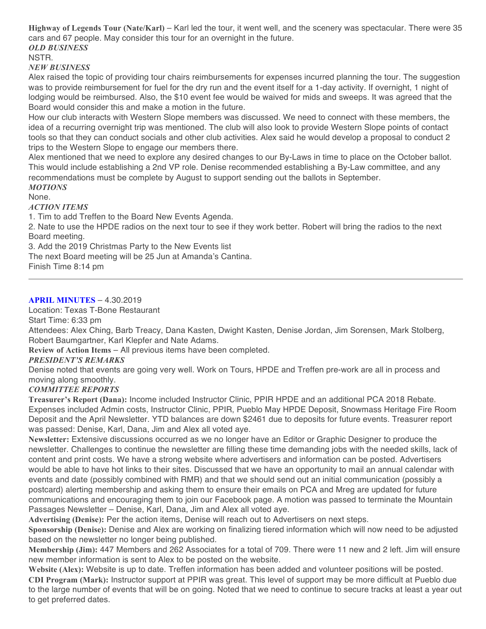**Highway of Legends Tour (Nate/Karl)** – Karl led the tour, it went well, and the scenery was spectacular. There were 35 cars and 67 people. May consider this tour for an overnight in the future. *OLD BUSINESS* NSTR.

## *NEW BUSINESS*

Alex raised the topic of providing tour chairs reimbursements for expenses incurred planning the tour. The suggestion was to provide reimbursement for fuel for the dry run and the event itself for a 1-day activity. If overnight, 1 night of lodging would be reimbursed. Also, the \$10 event fee would be waived for mids and sweeps. It was agreed that the Board would consider this and make a motion in the future.

How our club interacts with Western Slope members was discussed. We need to connect with these members, the idea of a recurring overnight trip was mentioned. The club will also look to provide Western Slope points of contact tools so that they can conduct socials and other club activities. Alex said he would develop a proposal to conduct 2 trips to the Western Slope to engage our members there.

Alex mentioned that we need to explore any desired changes to our By-Laws in time to place on the October ballot. This would include establishing a 2nd VP role. Denise recommended establishing a By-Law committee, and any recommendations must be complete by August to support sending out the ballots in September. *MOTIONS*

None.

#### *ACTION ITEMS*

1. Tim to add Treffen to the Board New Events Agenda.

2. Nate to use the HPDE radios on the next tour to see if they work better. Robert will bring the radios to the next Board meeting.

3. Add the 2019 Christmas Party to the New Events list

The next Board meeting will be 25 Jun at Amanda's Cantina.

Finish Time 8:14 pm

#### **APRIL MINUTES** – 4.30.2019

Location: Texas T-Bone Restaurant

Start Time: 6:33 pm

Attendees: Alex Ching, Barb Treacy, Dana Kasten, Dwight Kasten, Denise Jordan, Jim Sorensen, Mark Stolberg, Robert Baumgartner, Karl Klepfer and Nate Adams.

**Review of Action Items** – All previous items have been completed.

#### *PRESIDENT'S REMARKS*

Denise noted that events are going very well. Work on Tours, HPDE and Treffen pre-work are all in process and moving along smoothly.

#### *COMMITTEE REPORTS*

**Treasurer's Report (Dana):** Income included Instructor Clinic, PPIR HPDE and an additional PCA 2018 Rebate. Expenses included Admin costs, Instructor Clinic, PPIR, Pueblo May HPDE Deposit, Snowmass Heritage Fire Room Deposit and the April Newsletter. YTD balances are down \$2461 due to deposits for future events. Treasurer report was passed: Denise, Karl, Dana, Jim and Alex all voted aye.

**Newsletter:** Extensive discussions occurred as we no longer have an Editor or Graphic Designer to produce the newsletter. Challenges to continue the newsletter are filling these time demanding jobs with the needed skills, lack of content and print costs. We have a strong website where advertisers and information can be posted. Advertisers would be able to have hot links to their sites. Discussed that we have an opportunity to mail an annual calendar with events and date (possibly combined with RMR) and that we should send out an initial communication (possibly a postcard) alerting membership and asking them to ensure their emails on PCA and Mreg are updated for future communications and encouraging them to join our Facebook page. A motion was passed to terminate the Mountain Passages Newsletter – Denise, Karl, Dana, Jim and Alex all voted aye.

**Advertising (Denise):** Per the action items, Denise will reach out to Advertisers on next steps.

**Sponsorship (Denise):** Denise and Alex are working on finalizing tiered information which will now need to be adjusted based on the newsletter no longer being published.

**Membership (Jim):** 447 Members and 262 Associates for a total of 709. There were 11 new and 2 left. Jim will ensure new member information is sent to Alex to be posted on the website.

**Website (Alex):** Website is up to date. Treffen information has been added and volunteer positions will be posted. **CDI Program (Mark):** Instructor support at PPIR was great. This level of support may be more difficult at Pueblo due to the large number of events that will be on going. Noted that we need to continue to secure tracks at least a year out to get preferred dates.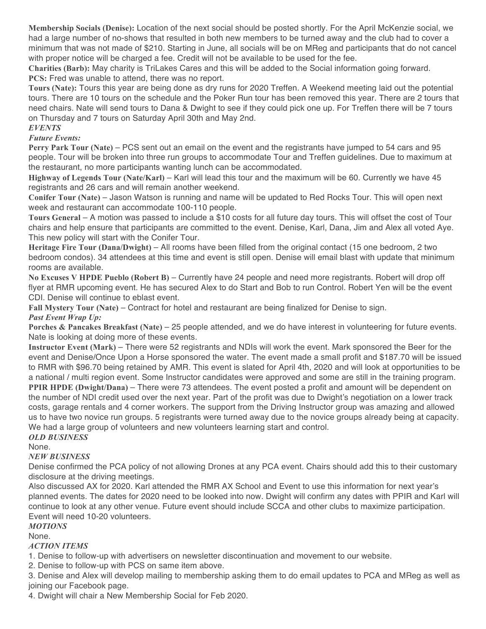**Membership Socials (Denise):** Location of the next social should be posted shortly. For the April McKenzie social, we had a large number of no-shows that resulted in both new members to be turned away and the club had to cover a minimum that was not made of \$210. Starting in June, all socials will be on MReg and participants that do not cancel with proper notice will be charged a fee. Credit will not be available to be used for the fee.

**Charities (Barb):** May charity is TriLakes Cares and this will be added to the Social information going forward. **PCS:** Fred was unable to attend, there was no report.

**Tours (Nate):** Tours this year are being done as dry runs for 2020 Treffen. A Weekend meeting laid out the potential tours. There are 10 tours on the schedule and the Poker Run tour has been removed this year. There are 2 tours that need chairs. Nate will send tours to Dana & Dwight to see if they could pick one up. For Treffen there will be 7 tours on Thursday and 7 tours on Saturday April 30th and May 2nd.

### *EVENTS*

#### *Future Events:*

**Perry Park Tour (Nate)** – PCS sent out an email on the event and the registrants have jumped to 54 cars and 95 people. Tour will be broken into three run groups to accommodate Tour and Treffen guidelines. Due to maximum at the restaurant, no more participants wanting lunch can be accommodated.

**Highway of Legends Tour (Nate/Karl)** – Karl will lead this tour and the maximum will be 60. Currently we have 45 registrants and 26 cars and will remain another weekend.

**Conifer Tour (Nate)** – Jason Watson is running and name will be updated to Red Rocks Tour. This will open next week and restaurant can accommodate 100-110 people.

**Tours General** – A motion was passed to include a \$10 costs for all future day tours. This will offset the cost of Tour chairs and help ensure that participants are committed to the event. Denise, Karl, Dana, Jim and Alex all voted Aye. This new policy will start with the Conifer Tour.

**Heritage Fire Tour (Dana/Dwight)** – All rooms have been filled from the original contact (15 one bedroom, 2 two bedroom condos). 34 attendees at this time and event is still open. Denise will email blast with update that minimum rooms are available.

**No Excuses V HPDE Pueblo (Robert B)** – Currently have 24 people and need more registrants. Robert will drop off flyer at RMR upcoming event. He has secured Alex to do Start and Bob to run Control. Robert Yen will be the event CDI. Denise will continue to eblast event.

**Fall Mystery Tour (Nate)** – Contract for hotel and restaurant are being finalized for Denise to sign. *Past Event Wrap Up:*

**Porches & Pancakes Breakfast (Nate)** – 25 people attended, and we do have interest in volunteering for future events. Nate is looking at doing more of these events.

**Instructor Event (Mark)** – There were 52 registrants and NDIs will work the event. Mark sponsored the Beer for the event and Denise/Once Upon a Horse sponsored the water. The event made a small profit and \$187.70 will be issued to RMR with \$96.70 being retained by AMR. This event is slated for April 4th, 2020 and will look at opportunities to be a national / multi region event. Some Instructor candidates were approved and some are still in the training program. **PPIR HPDE (Dwight/Dana)** – There were 73 attendees. The event posted a profit and amount will be dependent on the number of NDI credit used over the next year. Part of the profit was due to Dwight's negotiation on a lower track costs, garage rentals and 4 corner workers. The support from the Driving Instructor group was amazing and allowed us to have two novice run groups. 5 registrants were turned away due to the novice groups already being at capacity. We had a large group of volunteers and new volunteers learning start and control.

# *OLD BUSINESS*

None.

## *NEW BUSINESS*

Denise confirmed the PCA policy of not allowing Drones at any PCA event. Chairs should add this to their customary disclosure at the driving meetings.

Also discussed AX for 2020. Karl attended the RMR AX School and Event to use this information for next year's planned events. The dates for 2020 need to be looked into now. Dwight will confirm any dates with PPIR and Karl will continue to look at any other venue. Future event should include SCCA and other clubs to maximize participation. Event will need 10-20 volunteers.

## *MOTIONS*

## None.

*ACTION ITEMS*

1. Denise to follow-up with advertisers on newsletter discontinuation and movement to our website.

2. Denise to follow-up with PCS on same item above.

3. Denise and Alex will develop mailing to membership asking them to do email updates to PCA and MReg as well as joining our Facebook page.

4. Dwight will chair a New Membership Social for Feb 2020.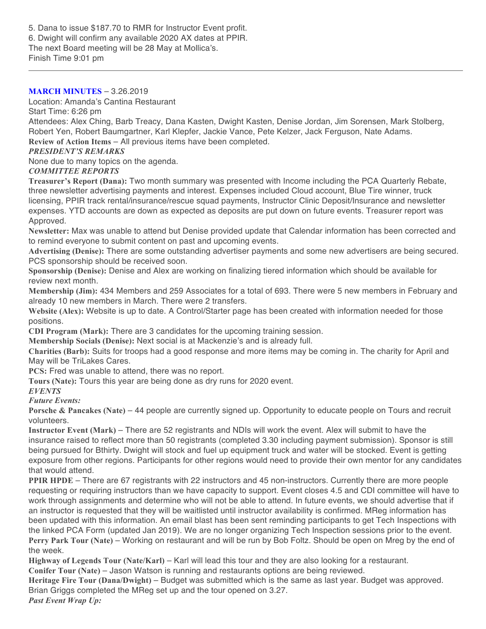5. Dana to issue \$187.70 to RMR for Instructor Event profit. 6. Dwight will confirm any available 2020 AX dates at PPIR. The next Board meeting will be 28 May at Mollica's. Finish Time 9:01 pm

#### **MARCH MINUTES** – 3.26.2019

Location: Amanda's Cantina Restaurant

Start Time: 6:26 pm

Attendees: Alex Ching, Barb Treacy, Dana Kasten, Dwight Kasten, Denise Jordan, Jim Sorensen, Mark Stolberg, Robert Yen, Robert Baumgartner, Karl Klepfer, Jackie Vance, Pete Kelzer, Jack Ferguson, Nate Adams. **Review of Action Items** – All previous items have been completed.

### *PRESIDENT'S REMARKS*

None due to many topics on the agenda.

### *COMMITTEE REPORTS*

**Treasurer's Report (Dana):** Two month summary was presented with Income including the PCA Quarterly Rebate, three newsletter advertising payments and interest. Expenses included Cloud account, Blue Tire winner, truck licensing, PPIR track rental/insurance/rescue squad payments, Instructor Clinic Deposit/Insurance and newsletter expenses. YTD accounts are down as expected as deposits are put down on future events. Treasurer report was Approved.

**Newsletter:** Max was unable to attend but Denise provided update that Calendar information has been corrected and to remind everyone to submit content on past and upcoming events.

**Advertising (Denise):** There are some outstanding advertiser payments and some new advertisers are being secured. PCS sponsorship should be received soon.

**Sponsorship (Denise):** Denise and Alex are working on finalizing tiered information which should be available for review next month.

**Membership (Jim):** 434 Members and 259 Associates for a total of 693. There were 5 new members in February and already 10 new members in March. There were 2 transfers.

**Website (Alex):** Website is up to date. A Control/Starter page has been created with information needed for those positions.

**CDI Program (Mark):** There are 3 candidates for the upcoming training session.

**Membership Socials (Denise):** Next social is at Mackenzie's and is already full.

**Charities (Barb):** Suits for troops had a good response and more items may be coming in. The charity for April and May will be TriLakes Cares.

**PCS:** Fred was unable to attend, there was no report.

**Tours (Nate):** Tours this year are being done as dry runs for 2020 event.

*EVENTS*

*Future Events:*

**Porsche & Pancakes (Nate)** – 44 people are currently signed up. Opportunity to educate people on Tours and recruit volunteers.

**Instructor Event (Mark)** – There are 52 registrants and NDIs will work the event. Alex will submit to have the insurance raised to reflect more than 50 registrants (completed 3.30 including payment submission). Sponsor is still being pursued for Bthirty. Dwight will stock and fuel up equipment truck and water will be stocked. Event is getting exposure from other regions. Participants for other regions would need to provide their own mentor for any candidates that would attend.

**PPIR HPDE** – There are 67 registrants with 22 instructors and 45 non-instructors. Currently there are more people requesting or requiring instructors than we have capacity to support. Event closes 4.5 and CDI committee will have to work through assignments and determine who will not be able to attend. In future events, we should advertise that if an instructor is requested that they will be waitlisted until instructor availability is confirmed. MReg information has been updated with this information. An email blast has been sent reminding participants to get Tech Inspections with the linked PCA Form (updated Jan 2019). We are no longer organizing Tech Inspection sessions prior to the event. **Perry Park Tour (Nate)** – Working on restaurant and will be run by Bob Foltz. Should be open on Mreg by the end of the week.

**Highway of Legends Tour (Nate/Karl)** – Karl will lead this tour and they are also looking for a restaurant.

**Conifer Tour (Nate)** – Jason Watson is running and restaurants options are being reviewed.

**Heritage Fire Tour (Dana/Dwight)** – Budget was submitted which is the same as last year. Budget was approved. Brian Griggs completed the MReg set up and the tour opened on 3.27.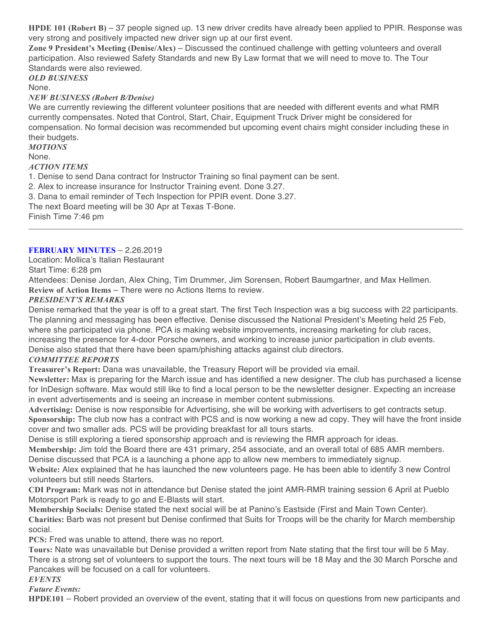**HPDE 101 (Robert B)** – 37 people signed up. 13 new driver credits have already been applied to PPIR. Response was very strong and positively impacted new driver sign up at our first event.

**Zone 9 President's Meeting (Denise/Alex)** – Discussed the continued challenge with getting volunteers and overall participation. Also reviewed Safety Standards and new By Law format that we will need to move to. The Tour Standards were also reviewed.

*OLD BUSINESS*

## None.

## *NEW BUSINESS (Robert B/Denise)*

We are currently reviewing the different volunteer positions that are needed with different events and what RMR currently compensates. Noted that Control, Start, Chair, Equipment Truck Driver might be considered for compensation. No formal decision was recommended but upcoming event chairs might consider including these in their budgets.

*MOTIONS*

None.

#### *ACTION ITEMS*

1. Denise to send Dana contract for Instructor Training so final payment can be sent.

2. Alex to increase insurance for Instructor Training event. Done 3.27.

3. Dana to email reminder of Tech Inspection for PPIR event. Done 3.27.

The next Board meeting will be 30 Apr at Texas T-Bone.

Finish Time 7:46 pm

### **FEBRUARY MINUTES** – 2.26.2019

Location: Mollica's Italian Restaurant

Start Time: 6:28 pm

Attendees: Denise Jordan, Alex Ching, Tim Drummer, Jim Sorensen, Robert Baumgartner, and Max Hellmen. **Review of Action Items** – There were no Actions Items to review.

## *PRESIDENT'S REMARKS*

Denise remarked that the year is off to a great start. The first Tech Inspection was a big success with 22 participants. The planning and messaging has been effective. Denise discussed the National President's Meeting held 25 Feb, where she participated via phone. PCA is making website improvements, increasing marketing for club races, increasing the presence for 4-door Porsche owners, and working to increase junior participation in club events. Denise also stated that there have been spam/phishing attacks against club directors.

#### *COMMITTEE REPORTS*

**Treasurer's Report:** Dana was unavailable, the Treasury Report will be provided via email.

**Newsletter:** Max is preparing for the March issue and has identified a new designer. The club has purchased a license for InDesign software. Max would still like to find a local person to be the newsletter designer. Expecting an increase in event advertisements and is seeing an increase in member content submissions.

**Advertising:** Denise is now responsible for Advertising, she will be working with advertisers to get contracts setup. **Sponsorship:** The club now has a contract with PCS and is now working a new ad copy. They will have the front inside cover and two smaller ads. PCS will be providing breakfast for all tours starts.

Denise is still exploring a tiered sponsorship approach and is reviewing the RMR approach for ideas.

**Membership:** Jim told the Board there are 431 primary, 254 associate, and an overall total of 685 AMR members. Denise discussed that PCA is a launching a phone app to allow new members to immediately signup.

**Website:** Alex explained that he has launched the new volunteers page. He has been able to identify 3 new Control volunteers but still needs Starters.

**CDI Program:** Mark was not in attendance but Denise stated the joint AMR-RMR training session 6 April at Pueblo Motorsport Park is ready to go and E-Blasts will start.

**Membership Socials:** Denise stated the next social will be at Panino's Eastside (First and Main Town Center). **Charities:** Barb was not present but Denise confirmed that Suits for Troops will be the charity for March membership social.

**PCS:** Fred was unable to attend, there was no report.

**Tours:** Nate was unavailable but Denise provided a written report from Nate stating that the first tour will be 5 May. There is a strong set of volunteers to support the tours. The next tours will be 18 May and the 30 March Porsche and Pancakes will be focused on a call for volunteers.

*EVENTS*

*Future Events:*

**HPDE101** – Robert provided an overview of the event, stating that it will focus on questions from new participants and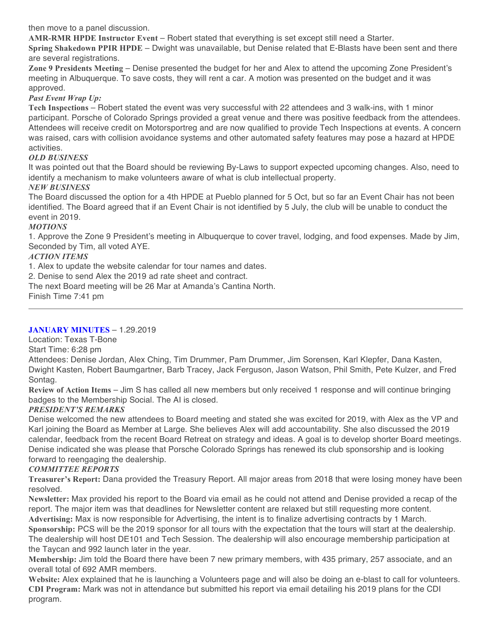then move to a panel discussion.

**AMR-RMR HPDE Instructor Event** – Robert stated that everything is set except still need a Starter.

**Spring Shakedown PPIR HPDE** – Dwight was unavailable, but Denise related that E-Blasts have been sent and there are several registrations.

**Zone 9 Presidents Meeting** – Denise presented the budget for her and Alex to attend the upcoming Zone President's meeting in Albuquerque. To save costs, they will rent a car. A motion was presented on the budget and it was approved.

## *Past Event Wrap Up:*

**Tech Inspections** – Robert stated the event was very successful with 22 attendees and 3 walk-ins, with 1 minor participant. Porsche of Colorado Springs provided a great venue and there was positive feedback from the attendees. Attendees will receive credit on Motorsportreg and are now qualified to provide Tech Inspections at events. A concern was raised, cars with collision avoidance systems and other automated safety features may pose a hazard at HPDE activities.

## *OLD BUSINESS*

It was pointed out that the Board should be reviewing By-Laws to support expected upcoming changes. Also, need to identify a mechanism to make volunteers aware of what is club intellectual property.

## *NEW BUSINESS*

The Board discussed the option for a 4th HPDE at Pueblo planned for 5 Oct, but so far an Event Chair has not been identified. The Board agreed that if an Event Chair is not identified by 5 July, the club will be unable to conduct the event in 2019.

## *MOTIONS*

1. Approve the Zone 9 President's meeting in Albuquerque to cover travel, lodging, and food expenses. Made by Jim, Seconded by Tim, all voted AYE.

## *ACTION ITEMS*

1. Alex to update the website calendar for tour names and dates.

2. Denise to send Alex the 2019 ad rate sheet and contract.

The next Board meeting will be 26 Mar at Amanda's Cantina North.

Finish Time 7:41 pm

## **JANUARY MINUTES** – 1.29.2019

Location: Texas T-Bone

## Start Time: 6:28 pm

Attendees: Denise Jordan, Alex Ching, Tim Drummer, Pam Drummer, Jim Sorensen, Karl Klepfer, Dana Kasten, Dwight Kasten, Robert Baumgartner, Barb Tracey, Jack Ferguson, Jason Watson, Phil Smith, Pete Kulzer, and Fred Sontag.

**Review of Action Items** – Jim S has called all new members but only received 1 response and will continue bringing badges to the Membership Social. The AI is closed.

## *PRESIDENT'S REMARKS*

Denise welcomed the new attendees to Board meeting and stated she was excited for 2019, with Alex as the VP and Karl joining the Board as Member at Large. She believes Alex will add accountability. She also discussed the 2019 calendar, feedback from the recent Board Retreat on strategy and ideas. A goal is to develop shorter Board meetings. Denise indicated she was please that Porsche Colorado Springs has renewed its club sponsorship and is looking forward to reengaging the dealership.

## *COMMITTEE REPORTS*

**Treasurer's Report:** Dana provided the Treasury Report. All major areas from 2018 that were losing money have been resolved.

**Newsletter:** Max provided his report to the Board via email as he could not attend and Denise provided a recap of the report. The major item was that deadlines for Newsletter content are relaxed but still requesting more content.

**Advertising:** Max is now responsible for Advertising, the intent is to finalize advertising contracts by 1 March. **Sponsorship:** PCS will be the 2019 sponsor for all tours with the expectation that the tours will start at the dealership. The dealership will host DE101 and Tech Session. The dealership will also encourage membership participation at the Taycan and 992 launch later in the year.

**Membership:** Jim told the Board there have been 7 new primary members, with 435 primary, 257 associate, and an overall total of 692 AMR members.

**Website:** Alex explained that he is launching a Volunteers page and will also be doing an e-blast to call for volunteers. **CDI Program:** Mark was not in attendance but submitted his report via email detailing his 2019 plans for the CDI program.